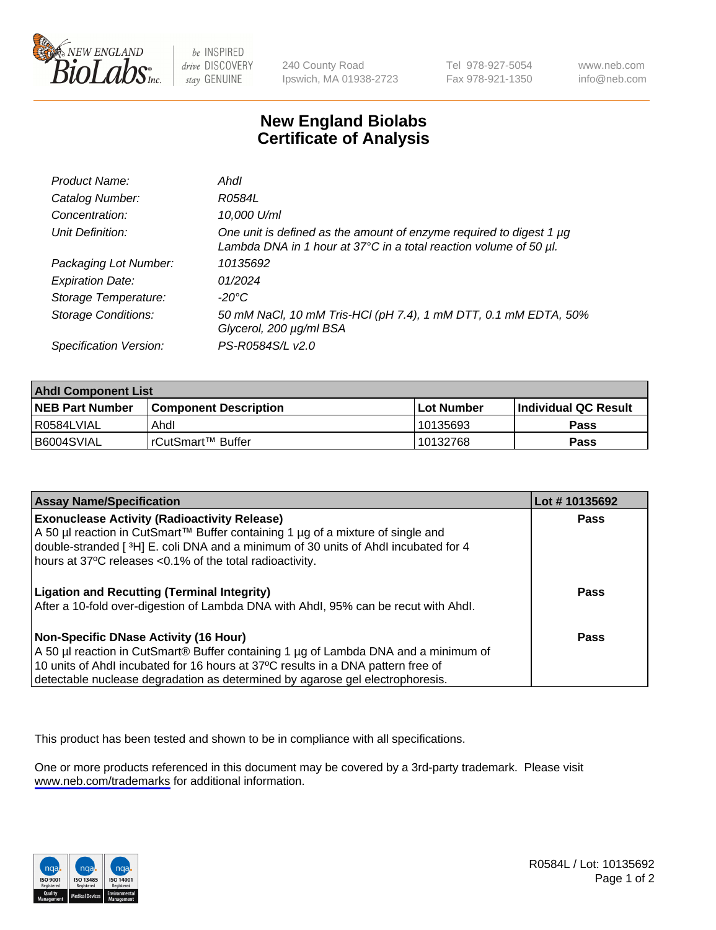

be INSPIRED drive DISCOVERY stay GENUINE

240 County Road Ipswich, MA 01938-2723 Tel 978-927-5054 Fax 978-921-1350

www.neb.com info@neb.com

## **New England Biolabs Certificate of Analysis**

| Product Name:              | Ahdl                                                                                                                                                    |
|----------------------------|---------------------------------------------------------------------------------------------------------------------------------------------------------|
| Catalog Number:            | R0584L                                                                                                                                                  |
| Concentration:             | 10,000 U/ml                                                                                                                                             |
| Unit Definition:           | One unit is defined as the amount of enzyme required to digest 1 µg<br>Lambda DNA in 1 hour at $37^{\circ}$ C in a total reaction volume of 50 $\mu$ l. |
| Packaging Lot Number:      | 10135692                                                                                                                                                |
| <b>Expiration Date:</b>    | 01/2024                                                                                                                                                 |
| Storage Temperature:       | $-20^{\circ}$ C                                                                                                                                         |
| <b>Storage Conditions:</b> | 50 mM NaCl, 10 mM Tris-HCl (pH 7.4), 1 mM DTT, 0.1 mM EDTA, 50%<br>Glycerol, 200 µg/ml BSA                                                              |
| Specification Version:     | PS-R0584S/L v2.0                                                                                                                                        |

| <b>Ahdl Component List</b> |                              |            |                             |  |
|----------------------------|------------------------------|------------|-----------------------------|--|
| <b>NEB Part Number</b>     | <b>Component Description</b> | Lot Number | <b>Individual QC Result</b> |  |
| R0584LVIAL                 | Ahdl                         | 10135693   | Pass                        |  |
| I B6004SVIAL               | l rCutSmart™ Buffer          | 10132768   | Pass                        |  |

| <b>Assay Name/Specification</b>                                                                                                                                                                                                                                                                   | Lot #10135692 |
|---------------------------------------------------------------------------------------------------------------------------------------------------------------------------------------------------------------------------------------------------------------------------------------------------|---------------|
| <b>Exonuclease Activity (Radioactivity Release)</b><br>A 50 µl reaction in CutSmart™ Buffer containing 1 µg of a mixture of single and<br>double-stranded [3H] E. coli DNA and a minimum of 30 units of Ahdl incubated for 4<br>hours at 37°C releases <0.1% of the total radioactivity.          | <b>Pass</b>   |
| <b>Ligation and Recutting (Terminal Integrity)</b><br>After a 10-fold over-digestion of Lambda DNA with Ahdl, 95% can be recut with Ahdl.                                                                                                                                                         | Pass          |
| Non-Specific DNase Activity (16 Hour)<br>A 50 µl reaction in CutSmart® Buffer containing 1 µg of Lambda DNA and a minimum of<br>10 units of Ahdl incubated for 16 hours at 37°C results in a DNA pattern free of<br>detectable nuclease degradation as determined by agarose gel electrophoresis. | Pass          |

This product has been tested and shown to be in compliance with all specifications.

One or more products referenced in this document may be covered by a 3rd-party trademark. Please visit <www.neb.com/trademarks>for additional information.